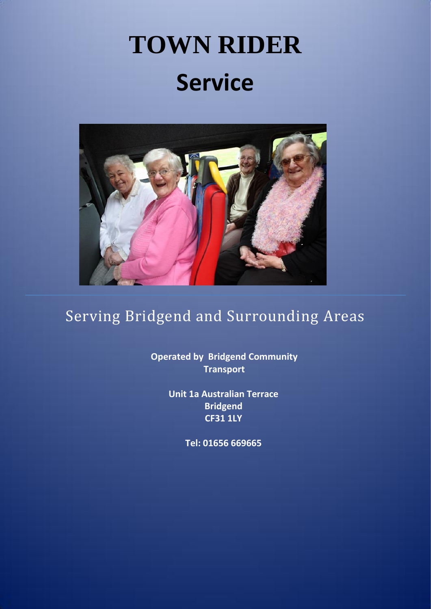# **TOWN RIDER Service**



# Serving Bridgend and Surrounding Areas

**Operated by Bridgend Community Transport**

> **Unit 1a Australian Terrace Bridgend CF31 1LY**

> > **Tel: 01656 669665**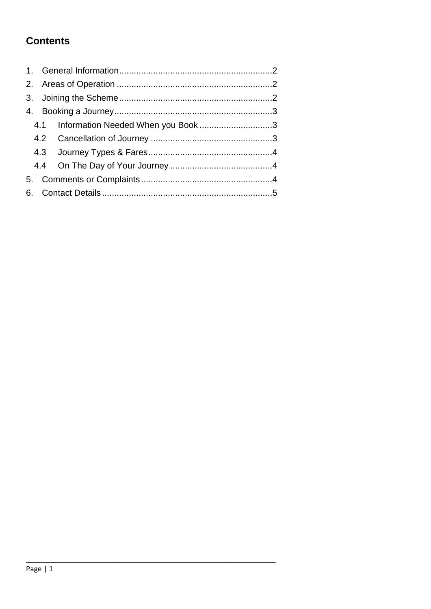### **Contents**

|  | 4.1 Information Needed When you Book3 |  |  |  |
|--|---------------------------------------|--|--|--|
|  |                                       |  |  |  |
|  |                                       |  |  |  |
|  |                                       |  |  |  |
|  |                                       |  |  |  |
|  |                                       |  |  |  |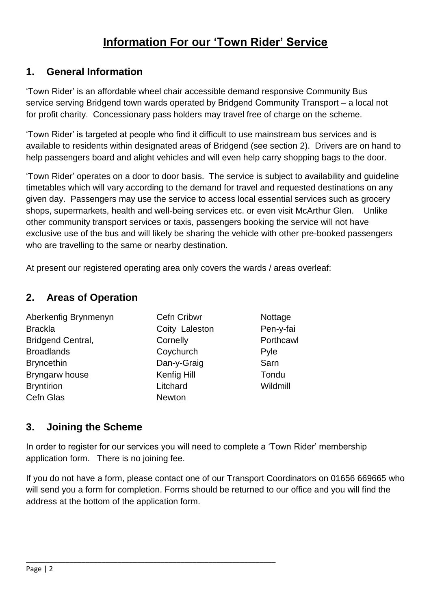## **Information For our 'Town Rider' Service**

#### <span id="page-2-0"></span>**1. General Information**

'Town Rider' is an affordable wheel chair accessible demand responsive Community Bus service serving Bridgend town wards operated by Bridgend Community Transport – a local not for profit charity. Concessionary pass holders may travel free of charge on the scheme.

'Town Rider' is targeted at people who find it difficult to use mainstream bus services and is available to residents within designated areas of Bridgend (see section 2). Drivers are on hand to help passengers board and alight vehicles and will even help carry shopping bags to the door.

'Town Rider' operates on a door to door basis. The service is subject to availability and guideline timetables which will vary according to the demand for travel and requested destinations on any given day. Passengers may use the service to access local essential services such as grocery shops, supermarkets, health and well-being services etc. or even visit McArthur Glen. Unlike other community transport services or taxis, passengers booking the service will not have exclusive use of the bus and will likely be sharing the vehicle with other pre-booked passengers who are travelling to the same or nearby destination.

<span id="page-2-1"></span>At present our registered operating area only covers the wards / areas overleaf:

#### **2. Areas of Operation**

| Aberkenfig Brynmenyn     | <b>Cefn Cribwr</b> | Nottage  |
|--------------------------|--------------------|----------|
| <b>Brackla</b>           | Coity Laleston     | Pen-y-fa |
| <b>Bridgend Central,</b> | Cornelly           | Porthcay |
| <b>Broadlands</b>        | Coychurch          | Pyle     |
| <b>Bryncethin</b>        | Dan-y-Graig        | Sarn     |
| Bryngarw house           | Kenfig Hill        | Tondu    |
| <b>Bryntirion</b>        | Litchard           | Wildmill |
| Cefn Glas                | <b>Newton</b>      |          |

**Cefn Cribwr Nottage** Coity Laleston Pen-y-fai Cornelly **Porthcawl** Coychurch Pyle Dan-y-Graig Sarn Kenfig Hill Tondu **Newton** 

#### <span id="page-2-2"></span>**3. Joining the Scheme**

In order to register for our services you will need to complete a 'Town Rider' membership application form. There is no joining fee.

\_\_\_\_\_\_\_\_\_\_\_\_\_\_\_\_\_\_\_\_\_\_\_\_\_\_\_\_\_\_\_\_\_\_\_\_\_\_\_\_\_\_\_\_\_\_\_\_\_\_\_\_\_\_\_\_\_\_\_\_\_\_\_

If you do not have a form, please contact one of our Transport Coordinators on 01656 669665 who will send you a form for completion. Forms should be returned to our office and you will find the address at the bottom of the application form.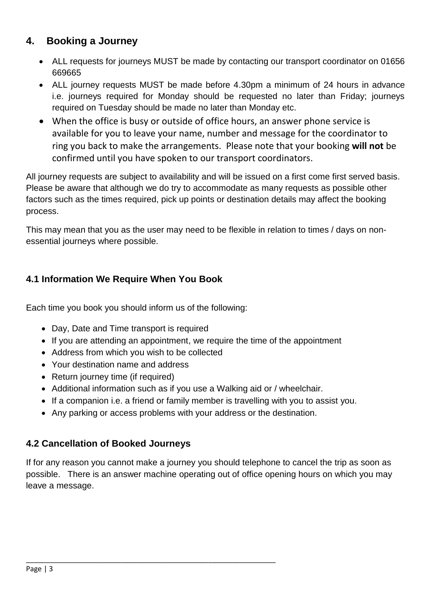#### <span id="page-3-0"></span>**4. Booking a Journey**

- ALL requests for journeys MUST be made by contacting our transport coordinator on 01656 669665
- ALL journey requests MUST be made before 4.30pm a minimum of 24 hours in advance i.e. journeys required for Monday should be requested no later than Friday; journeys required on Tuesday should be made no later than Monday etc.
- When the office is busy or outside of office hours, an answer phone service is available for you to leave your name, number and message for the coordinator to ring you back to make the arrangements. Please note that your booking **will not** be confirmed until you have spoken to our transport coordinators.

All journey requests are subject to availability and will be issued on a first come first served basis. Please be aware that although we do try to accommodate as many requests as possible other factors such as the times required, pick up points or destination details may affect the booking process.

This may mean that you as the user may need to be flexible in relation to times / days on nonessential journeys where possible.

#### <span id="page-3-1"></span>**4.1 Information We Require When You Book**

Each time you book you should inform us of the following:

- Day, Date and Time transport is required
- If you are attending an appointment, we require the time of the appointment
- Address from which you wish to be collected
- Your destination name and address
- Return journey time (if required)
- Additional information such as if you use a Walking aid or / wheelchair.
- If a companion i.e. a friend or family member is travelling with you to assist you.
- Any parking or access problems with your address or the destination.

\_\_\_\_\_\_\_\_\_\_\_\_\_\_\_\_\_\_\_\_\_\_\_\_\_\_\_\_\_\_\_\_\_\_\_\_\_\_\_\_\_\_\_\_\_\_\_\_\_\_\_\_\_\_\_\_\_\_\_\_\_\_\_

#### <span id="page-3-2"></span>**4.2 Cancellation of Booked Journeys**

If for any reason you cannot make a journey you should telephone to cancel the trip as soon as possible. There is an answer machine operating out of office opening hours on which you may leave a message.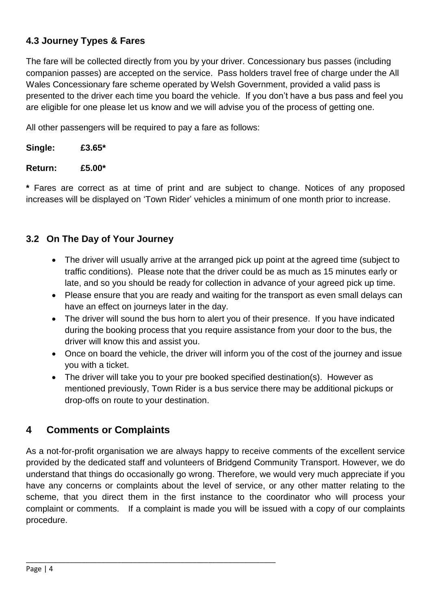#### <span id="page-4-0"></span>**4.3 Journey Types & Fares**

The fare will be collected directly from you by your driver. Concessionary bus passes (including companion passes) are accepted on the service. Pass holders travel free of charge under the All Wales Concessionary fare scheme operated by Welsh Government, provided a valid pass is presented to the driver each time you board the vehicle. If you don't have a bus pass and feel you are eligible for one please let us know and we will advise you of the process of getting one.

All other passengers will be required to pay a fare as follows:

| Single:        | £3.65 $*$ |
|----------------|-----------|
| <b>Return:</b> | £5.00 $*$ |

**\*** Fares are correct as at time of print and are subject to change. Notices of any proposed increases will be displayed on 'Town Rider' vehicles a minimum of one month prior to increase.

#### <span id="page-4-1"></span>**3.2 On The Day of Your Journey**

- The driver will usually arrive at the arranged pick up point at the agreed time (subject to traffic conditions). Please note that the driver could be as much as 15 minutes early or late, and so you should be ready for collection in advance of your agreed pick up time.
- Please ensure that you are ready and waiting for the transport as even small delays can have an effect on journeys later in the day.
- The driver will sound the bus horn to alert you of their presence. If you have indicated during the booking process that you require assistance from your door to the bus, the driver will know this and assist you.
- Once on board the vehicle, the driver will inform you of the cost of the journey and issue you with a ticket.
- The driver will take you to your pre booked specified destination(s). However as mentioned previously, Town Rider is a bus service there may be additional pickups or drop-offs on route to your destination.

#### <span id="page-4-2"></span>**4 Comments or Complaints**

\_\_\_\_\_\_\_\_\_\_\_\_\_\_\_\_\_\_\_\_\_\_\_\_\_\_\_\_\_\_\_\_\_\_\_\_\_\_\_\_\_\_\_\_\_\_\_\_\_\_\_\_\_\_\_\_\_\_\_\_\_\_\_

As a not-for-profit organisation we are always happy to receive comments of the excellent service provided by the dedicated staff and volunteers of Bridgend Community Transport. However, we do understand that things do occasionally go wrong. Therefore, we would very much appreciate if you have any concerns or complaints about the level of service, or any other matter relating to the scheme, that you direct them in the first instance to the coordinator who will process your complaint or comments. If a complaint is made you will be issued with a copy of our complaints procedure.